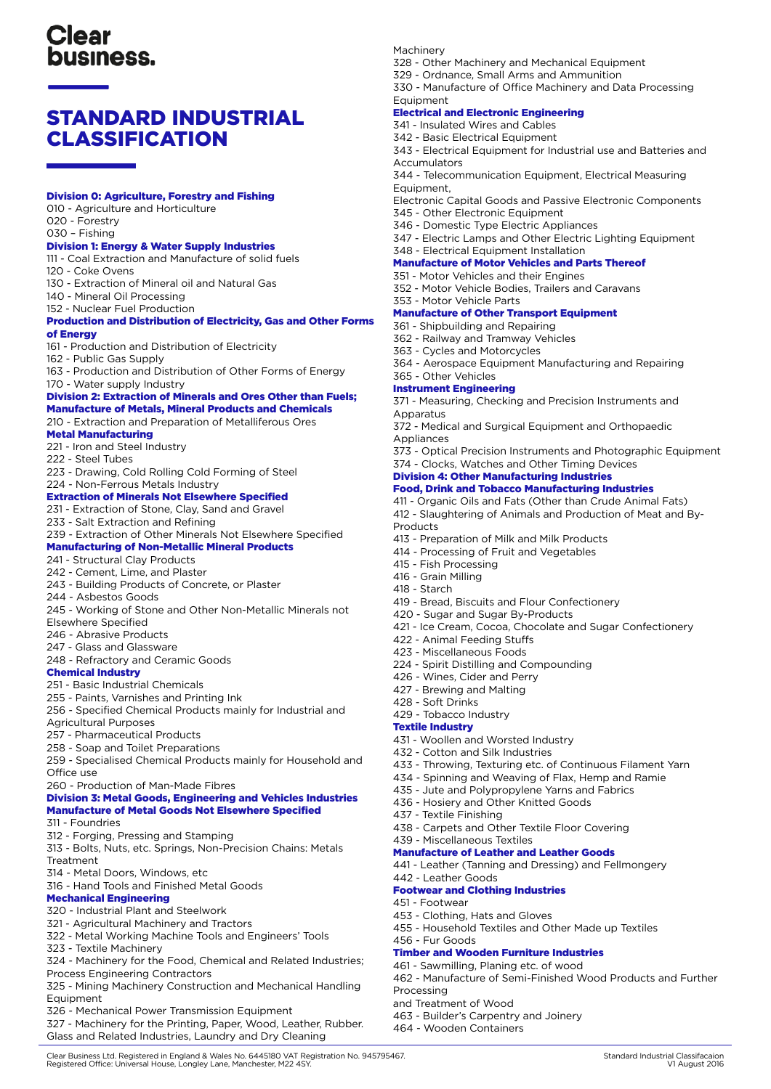# Clear business.

# STANDARD INDUSTRIAL CLASSIFICATION

### Division 0: Agriculture, Forestry and Fishing

010 - Agriculture and Horticulture 020 - Forestry

030 – Fishing

### Division 1: Energy & Water Supply Industries

- 111 Coal Extraction and Manufacture of solid fuels
- 120 Coke Ovens
- 130 Extraction of Mineral oil and Natural Gas
- 140 Mineral Oil Processing
- 152 Nuclear Fuel Production

#### Production and Distribution of Electricity, Gas and Other Forms of Energy

- 161 Production and Distribution of Electricity
- 162 Public Gas Supply

163 - Production and Distribution of Other Forms of Energy 170 - Water supply Industry

# Division 2: Extraction of Minerals and Ores Other than Fuels;

Manufacture of Metals, Mineral Products and Chemicals 210 - Extraction and Preparation of Metalliferous Ores

### Metal Manufacturing

221 - Iron and Steel Industry

- 222 Steel Tubes
- 223 Drawing, Cold Rolling Cold Forming of Steel 224 - Non-Ferrous Metals Industry

## Extraction of Minerals Not Elsewhere Specified

231 - Extraction of Stone, Clay, Sand and Gravel

- 233 Salt Extraction and Refining
- 239 Extraction of Other Minerals Not Elsewhere Specified

### Manufacturing of Non-Metallic Mineral Products

241 - Structural Clay Products

- 242 Cement, Lime, and Plaster
- 243 Building Products of Concrete, or Plaster
- 244 Asbestos Goods
- 245 Working of Stone and Other Non-Metallic Minerals not
- Elsewhere Specified
- 246 Abrasive Products
- 247 Glass and Glassware 248 - Refractory and Ceramic Goods
- Chemical Industry
- 251 Basic Industrial Chemicals
- 255 Paints, Varnishes and Printing Ink
- 256 Specified Chemical Products mainly for Industrial and
- Agricultural Purposes
- 257 Pharmaceutical Products
- 258 Soap and Toilet Preparations
- 259 Specialised Chemical Products mainly for Household and Office use
- 260 Production of Man-Made Fibres

### Division 3: Metal Goods, Engineering and Vehicles Industries Manufacture of Metal Goods Not Elsewhere Specified

- 311 Foundries
- 312 Forging, Pressing and Stamping
- 313 Bolts, Nuts, etc. Springs, Non-Precision Chains: Metals Treatment
- 314 Metal Doors, Windows, etc
- 316 Hand Tools and Finished Metal Goods

### Mechanical Engineering

- 320 Industrial Plant and Steelwork
- 321 Agricultural Machinery and Tractors
- 322 Metal Working Machine Tools and Engineers' Tools
- 323 Textile Machinery
- 324 Machinery for the Food, Chemical and Related Industries; Process Engineering Contractors
- 325 Mining Machinery Construction and Mechanical Handling **Equipment**
- 326 Mechanical Power Transmission Equipment

327 - Machinery for the Printing, Paper, Wood, Leather, Rubber. Glass and Related Industries, Laundry and Dry Cleaning

Clear Business Ltd. Registered in England & Wales No. 6445180 VAT Registration No. 945795467. Registered Office: Universal House, Longley Lane, Manchester, M22 4SY.

Machinery

- 328 Other Machinery and Mechanical Equipment
- 329 Ordnance, Small Arms and Ammunition
- 330 Manufacture of Office Machinery and Data Processing **Equipment**

## Electrical and Electronic Engineering

- 341 Insulated Wires and Cables
- 342 Basic Electrical Equipment
- 343 Electrical Equipment for Industrial use and Batteries and Accumulators
- 344 Telecommunication Equipment, Electrical Measuring Equipment,

Electronic Capital Goods and Passive Electronic Components 345 - Other Electronic Equipment

- 346 Domestic Type Electric Appliances
- 347 Electric Lamps and Other Electric Lighting Equipment 348 - Electrical Equipment Installation

## Manufacture of Motor Vehicles and Parts Thereof

- 351 Motor Vehicles and their Engines
- 352 Motor Vehicle Bodies, Trailers and Caravans

# 353 - Motor Vehicle Parts

- Manufacture of Other Transport Equipment
- 361 Shipbuilding and Repairing
- 362 Railway and Tramway Vehicles
- 363 Cycles and Motorcycles
- 364 Aerospace Equipment Manufacturing and Repairing

#### 365 - Other Vehicles Instrument Engineering

371 - Measuring, Checking and Precision Instruments and Apparatus

372 - Medical and Surgical Equipment and Orthopaedic Appliances

373 - Optical Precision Instruments and Photographic Equipment 374 - Clocks, Watches and Other Timing Devices

### Division 4: Other Manufacturing Industries

#### Food, Drink and Tobacco Manufacturing Industries

411 - Organic Oils and Fats (Other than Crude Animal Fats)

- 412 Slaughtering of Animals and Production of Meat and By-Products
- 413 Preparation of Milk and Milk Products
- 414 Processing of Fruit and Vegetables
- 415 Fish Processing
- 416 Grain Milling
- 418 Starch
- 419 Bread, Biscuits and Flour Confectionery
- 420 Sugar and Sugar By-Products
- 421 Ice Cream, Cocoa, Chocolate and Sugar Confectionery

433 - Throwing, Texturing etc. of Continuous Filament Yarn 434 - Spinning and Weaving of Flax, Hemp and Ramie 435 - Jute and Polypropylene Yarns and Fabrics 436 - Hosiery and Other Knitted Goods

438 - Carpets and Other Textile Floor Covering

441 - Leather (Tanning and Dressing) and Fellmongery

455 - Household Textiles and Other Made up Textiles

462 - Manufacture of Semi-Finished Wood Products and Further

Manufacture of Leather and Leather Goods

Timber and Wooden Furniture Industries 461 - Sawmilling, Planing etc. of wood

463 - Builder's Carpentry and Joinery

Standard Industrial Classifacaion V1 August 2016

- 422 Animal Feeding Stuffs
- 423 Miscellaneous Foods
- 224 Spirit Distilling and Compounding

431 - Woollen and Worsted Industry 432 - Cotton and Silk Industries

- 426 Wines, Cider and Perry
- 427 Brewing and Malting 428 - Soft Drinks 429 - Tobacco Industry

437 - Textile Finishing

442 - Leather Goods

451 - Footwear

456 - Fur Goods

and Treatment of Wood

464 - Wooden Containers

Processing

439 - Miscellaneous Textiles

Footwear and Clothing Industries

453 - Clothing, Hats and Gloves

Textile Industry